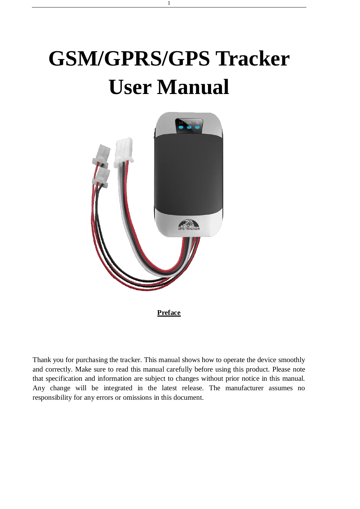# **GSM/GPRS/GPS Tracker User Manual**

1



**Preface**

Thank you for purchasing the tracker. This manual shows how to operate the device smoothly and correctly. Make sure to read this manual carefully before using this product. Please note that specification and information are subject to changes without prior notice in this manual. Any change will be integrated in the latest release. The manufacturer assumes no responsibility for any errors or omissions in this document.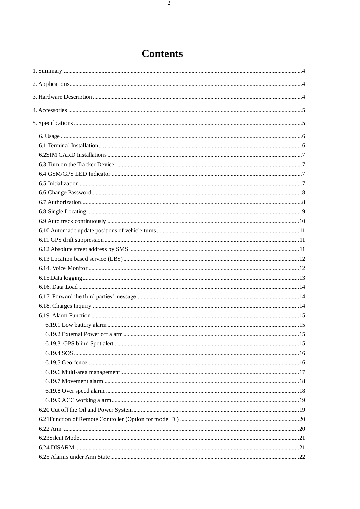# **Contents**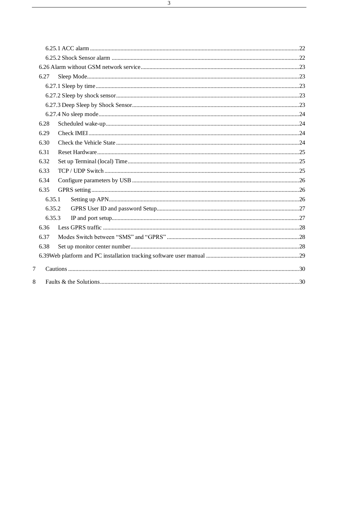|        | 6.27   |  |  |
|--------|--------|--|--|
|        |        |  |  |
|        |        |  |  |
|        |        |  |  |
|        |        |  |  |
|        | 6.28   |  |  |
|        | 6.29   |  |  |
|        | 6.30   |  |  |
|        | 6.31   |  |  |
|        | 6.32   |  |  |
|        | 6.33   |  |  |
|        | 6.34   |  |  |
|        | 6.35   |  |  |
|        | 6.35.1 |  |  |
|        | 6.35.2 |  |  |
|        | 6.35.3 |  |  |
|        | 6.36   |  |  |
|        | 6.37   |  |  |
|        | 6.38   |  |  |
|        |        |  |  |
|        |        |  |  |
| $\tau$ |        |  |  |
| 8      |        |  |  |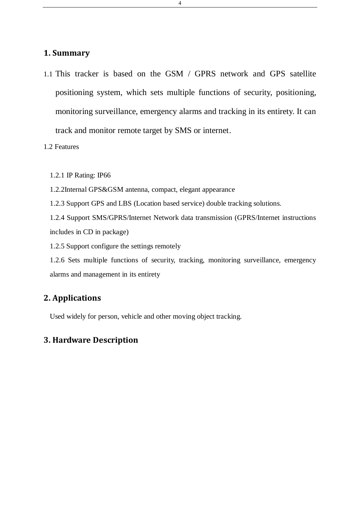#### <span id="page-3-0"></span>**1. Summary**

1.1 This tracker is based on the GSM / GPRS network and GPS satellite positioning system, which sets multiple functions of security, positioning, monitoring surveillance, emergency alarms and tracking in its entirety. It can track and monitor remote target by SMS or internet.

4

1.2 Features

1.2.1 IP Rating: IP66

1.2.2Internal GPS&GSM antenna, compact, elegant appearance

1.2.3 Support GPS and LBS (Location based service) double tracking solutions.

1.2.4 Support SMS/GPRS/Internet Network data transmission (GPRS/Internet instructions includes in CD in package)

1.2.5 Support configure the settings remotely

1.2.6 Sets multiple functions of security, tracking, monitoring surveillance, emergency alarms and management in its entirety

# <span id="page-3-1"></span>**2. Applications**

Used widely for person, vehicle and other moving object tracking.

### <span id="page-3-2"></span>**3. Hardware Description**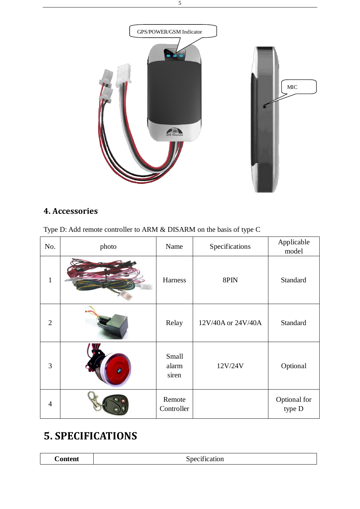

# <span id="page-4-0"></span>**4. Accessories**

| Type D: Add remote controller to ARM & DISARM on the basis of type C |  |  |
|----------------------------------------------------------------------|--|--|
|----------------------------------------------------------------------|--|--|

| No.            | photo | Name                    | Specifications     | Applicable<br>model    |
|----------------|-------|-------------------------|--------------------|------------------------|
| $\mathbf{1}$   |       | Harness                 | 8PIN               | Standard               |
| $\overline{2}$ |       | Relay                   | 12V/40A or 24V/40A | Standard               |
| 3              |       | Small<br>alarm<br>siren | 12V/24V            | Optional               |
| $\overline{4}$ |       | Remote<br>Controller    |                    | Optional for<br>type D |

# <span id="page-4-1"></span>**5. SPECIFICATIONS**

|--|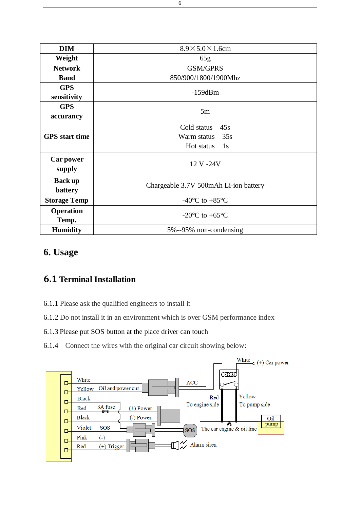| <b>DIM</b>                | $8.9 \times 5.0 \times 1.6$ cm        |
|---------------------------|---------------------------------------|
| Weight                    | 65g                                   |
| <b>Network</b>            | <b>GSM/GPRS</b>                       |
| <b>Band</b>               | 850/900/1800/1900Mhz                  |
| <b>GPS</b>                | $-159dBm$                             |
| sensitivity               |                                       |
| <b>GPS</b>                | 5m                                    |
| accurancy                 |                                       |
|                           | Cold status<br>45s                    |
| <b>GPS</b> start time     | 35s<br>Warm status                    |
|                           | Hot status<br>1s                      |
| Car power<br>supply       | 12 V -24V                             |
| <b>Back up</b><br>battery | Chargeable 3.7V 500mAh Li-ion battery |
| <b>Storage Temp</b>       | -40 $\mathbb{C}$ to +85 $\mathbb{C}$  |
| <b>Operation</b><br>Temp. | $-20 \text{ C}$ to $+65 \text{ C}$    |
| <b>Humidity</b>           | 5%--95% non-condensing                |

# <span id="page-5-0"></span>**6. Usage**

# <span id="page-5-1"></span>**6.1 Terminal Installation**

- 6.1.1 Please ask the qualified engineers to install it
- 6.1.2 Do not install it in an environment which is over GSM performance index

### 6.1.3 Please put SOS button at the place driver can touch

6.1.4 Connect the wires with the original car circuit showing below:

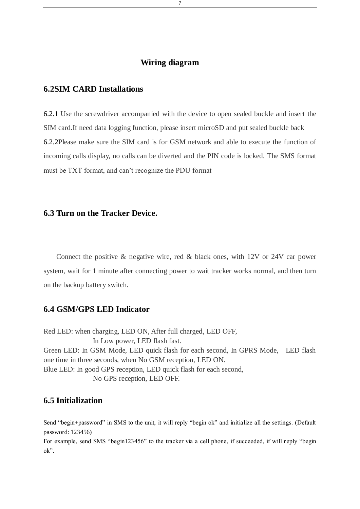#### **Wiring diagram**

#### <span id="page-6-0"></span>**6.2SIM CARD Installations**

6.2.1 Use the screwdriver accompanied with the device to open sealed buckle and insert the SIM card.If need data logging function, please insert microSD and put sealed buckle back 6.2.2Please make sure the SIM card is for GSM network and able to execute the function of incoming calls display, no calls can be diverted and the PIN code is locked. The SMS format must be TXT format, and can't recognize the PDU format

#### <span id="page-6-1"></span>**6.3 Turn on the Tracker Device.**

Connect the positive & negative wire, red & black ones, with 12V or 24V car power system, wait for 1 minute after connecting power to wait tracker works normal, and then turn on the backup battery switch.

#### <span id="page-6-2"></span>**6.4 GSM/GPS LED Indicator**

Red LED: when charging, LED ON, After full charged, LED OFF, In Low power, LED flash fast. Green LED: In GSM Mode, LED quick flash for each second, In GPRS Mode, LED flash one time in three seconds, when No GSM reception, LED ON. Blue LED: In good GPS reception, LED quick flash for each second, No GPS reception, LED OFF.

#### <span id="page-6-3"></span>**6.5 Initialization**

Send "begin+password" in SMS to the unit, it will reply "begin ok" and initialize all the settings. (Default password: 123456)

For example, send SMS "begin123456" to the tracker via a cell phone, if succeeded, if will reply "begin ok".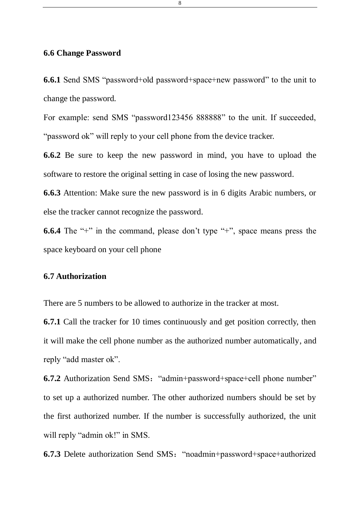# <span id="page-7-0"></span>**6.6 Change Password**

**6.6.1** Send SMS "password+old password+space+new password" to the unit to change the password.

For example: send SMS "password123456 888888" to the unit. If succeeded, "password ok" will reply to your cell phone from the device tracker.

**6.6.2** Be sure to keep the new password in mind, you have to upload the software to restore the original setting in case of losing the new password.

**6.6.3** Attention: Make sure the new password is in 6 digits Arabic numbers, or else the tracker cannot recognize the password.

**6.6.4** The "+" in the command, please don't type "+", space means press the space keyboard on your cell phone

### <span id="page-7-1"></span>**6.7 Authorization**

There are 5 numbers to be allowed to authorize in the tracker at most.

**6.7.1** Call the tracker for 10 times continuously and get position correctly, then it will make the cell phone number as the authorized number automatically, and reply "add master ok".

**6.7.2** Authorization Send SMS: "admin+password+space+cell phone number" to set up a authorized number. The other authorized numbers should be set by the first authorized number. If the number is successfully authorized, the unit will reply "admin ok!" in SMS.

**6.7.3** Delete authorization Send SMS:"noadmin+password+space+authorized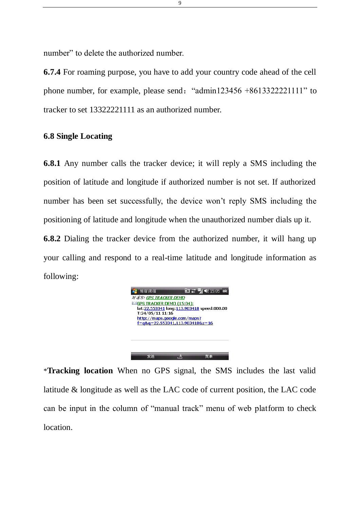number" to delete the authorized number.

**6.7.4** For roaming purpose, you have to add your country code ahead of the cell phone number, for example, please send: "admin123456 +8613322221111" to tracker to set 13322221111 as an authorized number.

### <span id="page-8-0"></span>**6.8 Single Locating**

**6.8.1** Any number calls the tracker device; it will reply a SMS including the position of latitude and longitude if authorized number is not set. If authorized number has been set successfully, the device won't reply SMS including the positioning of latitude and longitude when the unauthorized number dials up it. **6.8.2** Dialing the tracker device from the authorized number, it will hang up

your calling and respond to a real-time latitude and longitude information as following:



\***Tracking location** When no GPS signal, the SMS includes the last valid latitude & longitude as well as the LAC code of current position, the LAC code can be input in the column of "manual track" menu of web platform to check location.

9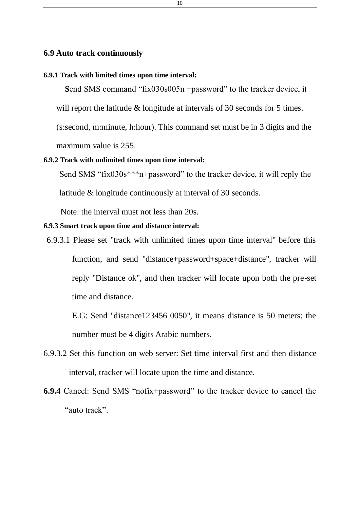#### <span id="page-9-0"></span>**6.9 Auto track continuously**

#### **6.9.1 Track with limited times upon time interval:**

**S**end SMS command "fix030s005n +password" to the tracker device, it will report the latitude & longitude at intervals of 30 seconds for 5 times.

(s:second, m:minute, h:hour). This command set must be in 3 digits and the maximum value is 255.

#### **6.9.2 Track with unlimited times upon time interval:**

Send SMS "fix030s\*\*\*n+password" to the tracker device, it will reply the

latitude & longitude continuously at interval of 30 seconds.

Note: the interval must not less than 20s.

#### **6.9.3 Smart track upon time and distance interval:**

6.9.3.1 Please set "track with unlimited times upon time interval" before this function, and send "distance+password+space+distance", tracker will reply "Distance ok", and then tracker will locate upon both the pre-set time and distance.

E.G: Send "distance123456 0050", it means distance is 50 meters; the number must be 4 digits Arabic numbers.

- 6.9.3.2 Set this function on web server: Set time interval first and then distance interval, tracker will locate upon the time and distance.
- **6.9.4** Cancel: Send SMS "nofix+password" to the tracker device to cancel the "auto track".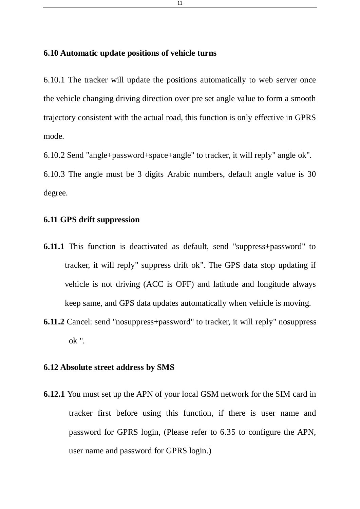# <span id="page-10-0"></span>**6.10 Automatic update positions of vehicle turns**

6.10.1 The tracker will update the positions automatically to web server once the vehicle changing driving direction over pre set angle value to form a smooth trajectory consistent with the actual road, this function is only effective in GPRS mode.

6.10.2 Send "angle+password+space+angle" to tracker, it will reply" angle ok".

6.10.3 The angle must be 3 digits Arabic numbers, default angle value is 30 degree.

# <span id="page-10-1"></span>**6.11 GPS drift suppression**

- **6.11.1** This function is deactivated as default, send "suppress+password" to tracker, it will reply" suppress drift ok". The GPS data stop updating if vehicle is not driving (ACC is OFF) and latitude and longitude always keep same, and GPS data updates automatically when vehicle is moving.
- **6.11.2** Cancel: send "nosuppress+password" to tracker, it will reply" nosuppress ok ".

#### <span id="page-10-2"></span>**6.12 Absolute street address by SMS**

**6.12.1** You must set up the APN of your local GSM network for the SIM card in tracker first before using this function, if there is user name and password for GPRS login, (Please refer to 6.35 to configure the APN, user name and password for GPRS login.)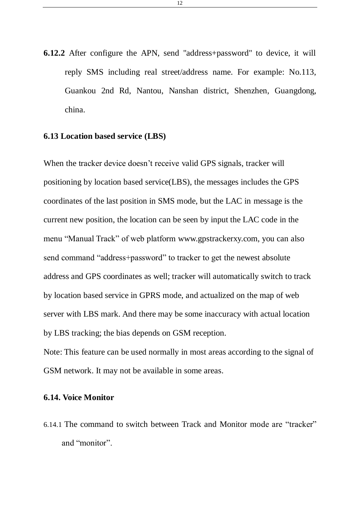**6.12.2** After configure the APN, send "address+password" to device, it will reply SMS including real street/address name. For example: No.113, Guankou 2nd Rd, Nantou, Nanshan district, Shenzhen, Guangdong, china.

# <span id="page-11-0"></span>**6.13 Location based service (LBS)**

When the tracker device doesn't receive valid GPS signals, tracker will positioning by location based service(LBS), the messages includes the GPS coordinates of the last position in SMS mode, but the LAC in message is the current new position, the location can be seen by input the LAC code in the menu "Manual Track" of web platform [www.gpstrackerxy.com,](http://www.gpstrackerxy.com/) you can also send command "address+password" to tracker to get the newest absolute address and GPS coordinates as well; tracker will automatically switch to track by location based service in GPRS mode, and actualized on the map of web server with LBS mark. And there may be some inaccuracy with actual location by LBS tracking; the bias depends on GSM reception.

Note: This feature can be used normally in most areas according to the signal of GSM network. It may not be available in some areas.

# <span id="page-11-1"></span>**6.14. Voice Monitor**

6.14.1 The command to switch between Track and Monitor mode are "tracker" and "monitor".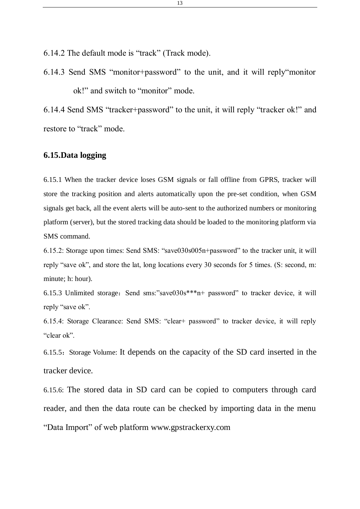6.14.2 The default mode is "track" (Track mode).

6.14.3 Send SMS "monitor+password" to the unit, and it will reply"monitor ok!" and switch to "monitor" mode.

6.14.4 Send SMS "tracker+password" to the unit, it will reply "tracker ok!" and restore to "track" mode.

### <span id="page-12-0"></span>**6.15.Data logging**

6.15.1 When the tracker device loses GSM signals or fall offline from GPRS, tracker will store the tracking position and alerts automatically upon the pre-set condition, when GSM signals get back, all the event alerts will be auto-sent to the authorized numbers or monitoring platform (server), but the stored tracking data should be loaded to the monitoring platform via SMS command.

6.15.2: Storage upon times: Send SMS: "save030s005n+password" to the tracker unit, it will reply "save ok", and store the lat, long locations every 30 seconds for 5 times. (S: second, m: minute; h: hour).

6.15.3 Unlimited storage: Send sms:"save030s\*\*\*n+ password" to tracker device, it will reply "save ok".

6.15.4: Storage Clearance: Send SMS: "clear+ password" to tracker device, it will reply "clear ok".

6.15.5: Storage Volume: It depends on the capacity of the SD card inserted in the tracker device.

6.15.6: The stored data in SD card can be copied to computers through card reader, and then the data route can be checked by importing data in the menu "Data Import" of web platform [www.gpstrackerxy.com](http://www.gpstrackerxy.com/)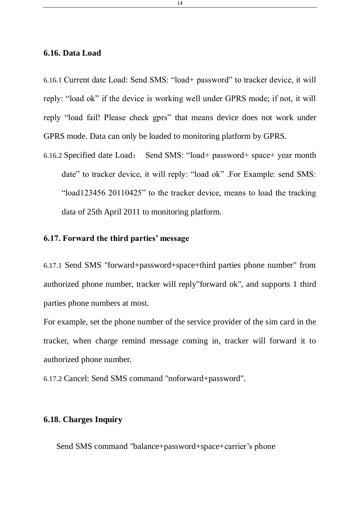### <span id="page-13-0"></span>**6.16. Data Load**

6.16.1 Current date Load: Send SMS: "load+ password" to tracker device, it will reply: "load ok" if the device is working well under GPRS mode; if not, it will reply "load fail! Please check gprs" that means device does not work under GPRS mode. Data can only be loaded to monitoring platform by GPRS.

6.16.2 Specified date Load: Send SMS: "load+ password+ space+ year month date" to tracker device, it will reply: "load ok" .For Example: send SMS: "load123456 20110425" to the tracker device, means to load the tracking data of 25th April 2011 to monitoring platform.

# <span id="page-13-1"></span>**6.17. Forward the third parties' message**

6.17.1 Send SMS "forward+password+space+third parties phone number" from authorized phone number, tracker will reply"forward ok", and supports 1 third parties phone numbers at most.

For example, set the phone number of the service provider of the sim card in the tracker, when charge remind message coming in, tracker will forward it to authorized phone number.

6.17.2 Cancel: Send SMS command "noforward+password".

# <span id="page-13-2"></span>**6.18. Charges Inquiry**

Send SMS command "balance+password+space+carrier's phone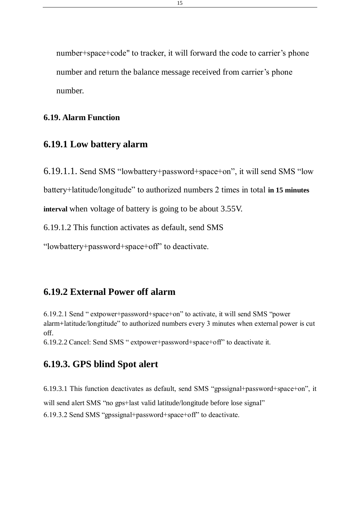number+space+code" to tracker, it will forward the code to carrier's phone number and return the balance message received from carrier's phone number.

#### <span id="page-14-0"></span>**6.19. Alarm Function**

# <span id="page-14-1"></span>**6.19.1 Low battery alarm**

6.19.1.1. Send SMS "lowbattery+password+space+on", it will send SMS "low

battery+latitude/longitude" to authorized numbers 2 times in total **in 15 minutes** 

**interval** when voltage of battery is going to be about 3.55V.

6.19.1.2 This function activates as default, send SMS

"lowbattery+password+space+off" to deactivate.

# <span id="page-14-2"></span>**6.19.2 External Power off alarm**

6.19.2.1 Send " extpower+password+space+on" to activate, it will send SMS "power alarm+latitude/longtitude" to authorized numbers every 3 minutes when external power is cut off.

<span id="page-14-3"></span>6.19.2.2 Cancel: Send SMS " extpower+password+space+off" to deactivate it.

# **6.19.3. GPS blind Spot alert**

6.19.3.1 This function deactivates as default, send SMS "gpssignal+password+space+on", it

will send alert SMS "no gps+last valid latitude/longitude before lose signal"

6.19.3.2 Send SMS "gpssignal+password+space+off" to deactivate.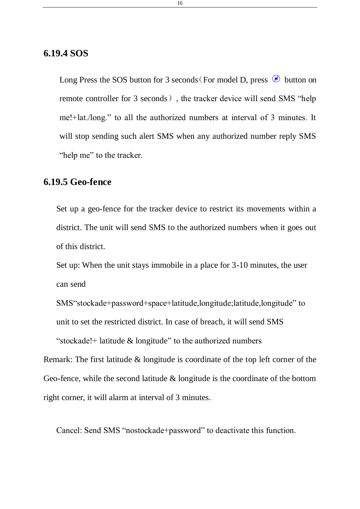# <span id="page-15-0"></span>**6.19.4 SOS**

Long Press the SOS button for 3 seconds (For model D, press  $\circledR$  button on remote controller for 3 seconds), the tracker device will send SMS "help me!+lat./long." to all the authorized numbers at interval of 3 minutes. It will stop sending such alert SMS when any authorized number reply SMS "help me" to the tracker.

# <span id="page-15-1"></span>**6.19.5 Geo-fence**

Set up a geo-fence for the tracker device to restrict its movements within a district. The unit will send SMS to the authorized numbers when it goes out of this district.

Set up: When the unit stays immobile in a place for 3-10 minutes, the user can send

SMS"stockade+password+space+latitude,longitude;latitude,longitude" to unit to set the restricted district. In case of breach, it will send SMS

"stockade!+ latitude & longitude" to the authorized numbers

Remark: The first latitude & longitude is coordinate of the top left corner of the Geo-fence, while the second latitude & longitude is the coordinate of the bottom right corner, it will alarm at interval of 3 minutes.

Cancel: Send SMS "nostockade+password" to deactivate this function.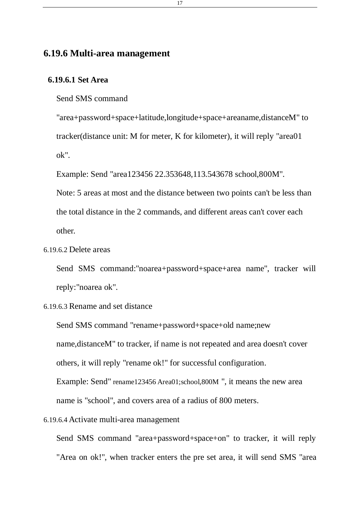# <span id="page-16-0"></span>**6.19.6 Multi-area management**

# **6.19.6.1 Set Area**

Send SMS command

"area+password+space+latitude,longitude+space+areaname,distanceM" to tracker(distance unit: M for meter, K for kilometer), it will reply "area01 ok".

Example: Send "area123456 22.353648,113.543678 school,800M".

Note: 5 areas at most and the distance between two points can't be less than the total distance in the 2 commands, and different areas can't cover each other.

6.19.6.2 Delete areas

Send SMS command:"noarea+password+space+area name", tracker will reply:"noarea ok".

### 6.19.6.3 Rename and set distance

Send SMS command "rename+password+space+old name;new name,distanceM" to tracker, if name is not repeated and area doesn't cover others, it will reply "rename ok!" for successful configuration.

Example: Send" rename123456 Area01;school,800M ", it means the new area name is "school", and covers area of a radius of 800 meters.

#### 6.19.6.4 Activate multi-area management

Send SMS command "area+password+space+on" to tracker, it will reply "Area on ok!", when tracker enters the pre set area, it will send SMS "area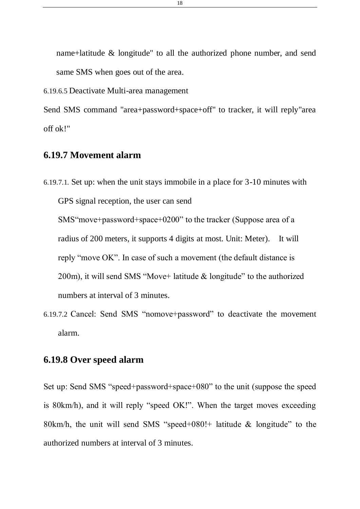name+latitude & longitude" to all the authorized phone number, and send same SMS when goes out of the area.

6.19.6.5 Deactivate Multi-area management

Send SMS command "area+password+space+off" to tracker, it will reply"area off ok!"

# <span id="page-17-0"></span>**6.19.7 Movement alarm**

6.19.7.1. Set up: when the unit stays immobile in a place for 3-10 minutes with GPS signal reception, the user can send SMS"move+password+space+0200" to the tracker (Suppose area of a radius of 200 meters, it supports 4 digits at most. Unit: Meter). It will reply "move OK". In case of such a movement (the default distance is 200m), it will send SMS "Move+ latitude & longitude" to the authorized numbers at interval of 3 minutes.

6.19.7.2 Cancel: Send SMS "nomove+password" to deactivate the movement alarm.

# <span id="page-17-1"></span>**6.19.8 Over speed alarm**

Set up: Send SMS "speed+password+space+080" to the unit (suppose the speed is 80km/h), and it will reply "speed OK!". When the target moves exceeding 80km/h, the unit will send SMS "speed+080!+ latitude & longitude" to the authorized numbers at interval of 3 minutes.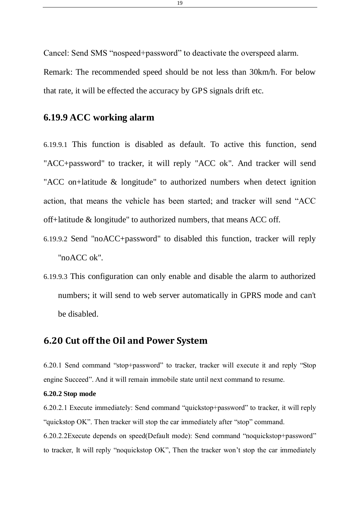Cancel: Send SMS "nospeed+password" to deactivate the overspeed alarm.

Remark: The recommended speed should be not less than 30km/h. For below that rate, it will be effected the accuracy by GPS signals drift etc.

# <span id="page-18-0"></span>**6.19.9 ACC working alarm**

6.19.9.1 This function is disabled as default. To active this function, send "ACC+password" to tracker, it will reply "ACC ok". And tracker will send "ACC on+latitude & longitude" to authorized numbers when detect ignition action, that means the vehicle has been started; and tracker will send "ACC off+latitude & longitude" to authorized numbers, that means ACC off.

- 6.19.9.2 Send "noACC+password" to disabled this function, tracker will reply "noACC ok".
- 6.19.9.3 This configuration can only enable and disable the alarm to authorized numbers; it will send to web server automatically in GPRS mode and can't be disabled.

### <span id="page-18-1"></span>**6.20 Cut off the Oil and Power System**

6.20.1 Send command "stop+password" to tracker, tracker will execute it and reply "Stop engine Succeed". And it will remain immobile state until next command to resume.

#### **6.20.2 Stop mode**

6.20.2.1 Execute immediately: Send command "quickstop+password" to tracker, it will reply "quickstop OK". Then tracker will stop the car immediately after "stop" command.

6.20.2.2Execute depends on speed(Default mode): Send command "noquickstop+password" to tracker, It will reply "noquickstop OK", Then the tracker won't stop the car immediately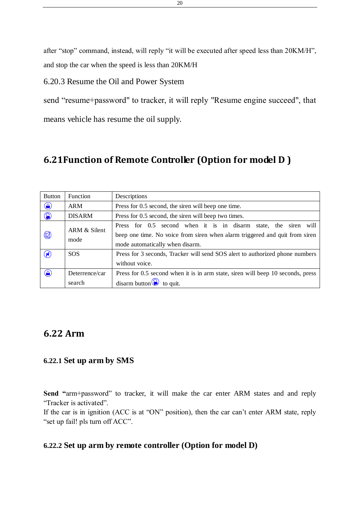after "stop" command, instead, will reply "it will be executed after speed less than 20KM/H", and stop the car when the speed is less than 20KM/H

# 6.20.3 Resume the Oil and Power System

send "resume+password" to tracker, it will reply "Resume engine succeed", that means vehicle has resume the oil supply.

# <span id="page-19-0"></span>**6.21Function of Remote Controller (Option for model D )**

| <b>Button</b> | Function                 | Descriptions                                                                                                                                                                            |  |
|---------------|--------------------------|-----------------------------------------------------------------------------------------------------------------------------------------------------------------------------------------|--|
| $\bigcirc$    | <b>ARM</b>               | Press for 0.5 second, the siren will beep one time.                                                                                                                                     |  |
| $\circledS$   | <b>DISARM</b>            | Press for 0.5 second, the siren will beep two times.                                                                                                                                    |  |
| $\circledR$   | ARM & Silent<br>mode     | Press for 0.5 second when it is in disarm<br>state, the siren<br>will<br>beep one time. No voice from siren when alarm triggered and quit from siren<br>mode automatically when disarm. |  |
| $\odot$       | <b>SOS</b>               | Press for 3 seconds, Tracker will send SOS alert to authorized phone numbers<br>without voice.                                                                                          |  |
| $\bigcirc$    | Deterrence/car<br>search | Press for 0.5 second when it is in arm state, siren will beep 10 seconds, press<br>disarm button $\odot$ to quit.                                                                       |  |

# <span id="page-19-1"></span>**6.22 Arm**

#### **6.22.1 Set up arm by SMS**

**Send "**arm+password" to tracker, it will make the car enter ARM states and and reply "Tracker is activated".

If the car is in ignition (ACC is at "ON" position), then the car can't enter ARM state, reply "set up fail! pls turn off ACC".

#### **6.22.2 Set up arm by remote controller (Option for model D)**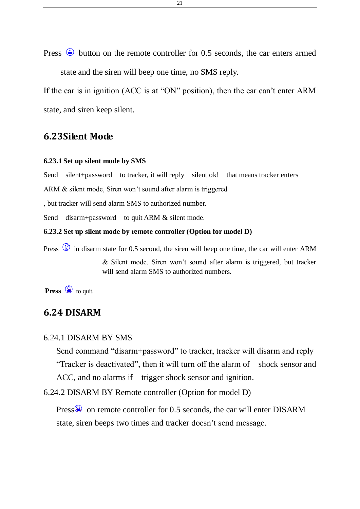Press  $\circledast$  button on the remote controller for 0.5 seconds, the car enters armed state and the siren will beep one time, no SMS reply.

If the car is in ignition (ACC is at "ON" position), then the car can't enter ARM state, and siren keep silent.

### <span id="page-20-0"></span>**6.23Silent Mode**

#### **6.23.1 Set up silent mode by SMS**

Send silent+password to tracker, it will reply silent ok! that means tracker enters

ARM & silent mode, Siren won't sound after alarm is triggered

, but tracker will send alarm SMS to authorized number.

Send disarm+password to quit ARM & silent mode.

#### **6.23.2 Set up silent mode by remote controller (Option for model D)**

Press  $\circledR$  in disarm state for 0.5 second, the siren will beep one time, the car will enter ARM

& Silent mode. Siren won't sound after alarm is triggered, but tracker will send alarm SMS to authorized numbers.

<span id="page-20-1"></span>**Press**  $\bigotimes$  to quit.

#### **6.24 DISARM**

#### 6.24.1 DISARM BY SMS

Send command "disarm+password" to tracker, tracker will disarm and reply "Tracker is deactivated", then it will turn off the alarm of shock sensor and ACC, and no alarms if trigger shock sensor and ignition.

6.24.2 DISARM BY Remote controller (Option for model D)

Press $\circledS$  on remote controller for 0.5 seconds, the car will enter DISARM state, siren beeps two times and tracker doesn't send message.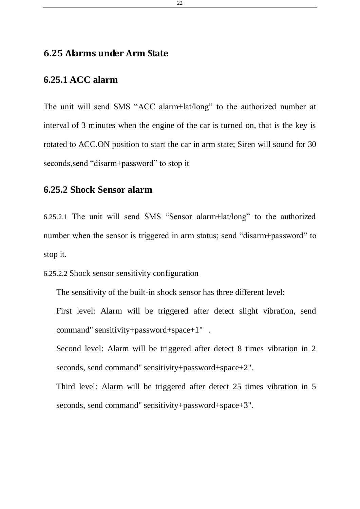# <span id="page-21-0"></span>**6.25 Alarms under Arm State**

# <span id="page-21-1"></span>**6.25.1 ACC alarm**

The unit will send SMS "ACC alarm+lat/long" to the authorized number at interval of 3 minutes when the engine of the car is turned on, that is the key is rotated to ACC.ON position to start the car in arm state; Siren will sound for 30 seconds,send "disarm+password" to stop it

# <span id="page-21-2"></span>**6.25.2 Shock Sensor alarm**

6.25.2.1 The unit will send SMS "Sensor alarm+lat/long" to the authorized number when the sensor is triggered in arm status; send "disarm+password" to stop it.

```
6.25.2.2 Shock sensor sensitivity configuration
```
The sensitivity of the built-in shock sensor has three different level:

First level: Alarm will be triggered after detect slight vibration, send command" sensitivity+password+space+1" .

Second level: Alarm will be triggered after detect 8 times vibration in 2 seconds, send command" sensitivity+password+space+2".

Third level: Alarm will be triggered after detect 25 times vibration in 5 seconds, send command" sensitivity+password+space+3".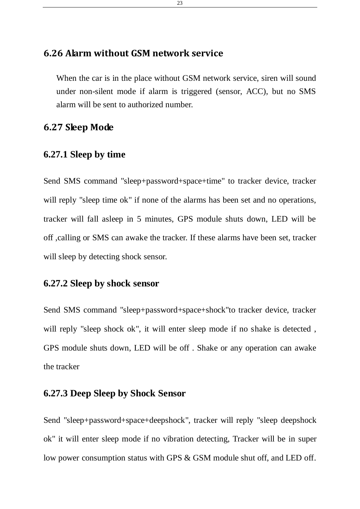# <span id="page-22-0"></span>**6.26 Alarm without GSM network service**

When the car is in the place without GSM network service, siren will sound under non-silent mode if alarm is triggered (sensor, ACC), but no SMS alarm will be sent to authorized number.

# <span id="page-22-1"></span>**6.27 Sleep Mode**

# <span id="page-22-2"></span>**6.27.1 Sleep by time**

Send SMS command "sleep+password+space+time" to tracker device, tracker will reply "sleep time ok" if none of the alarms has been set and no operations, tracker will fall asleep in 5 minutes, GPS module shuts down, LED will be off ,calling or SMS can awake the tracker. If these alarms have been set, tracker will sleep by detecting shock sensor.

# <span id="page-22-3"></span>**6.27.2 Sleep by shock sensor**

Send SMS command "sleep+password+space+shock"to tracker device, tracker will reply "sleep shock ok", it will enter sleep mode if no shake is detected , GPS module shuts down, LED will be off . Shake or any operation can awake the tracker

# <span id="page-22-4"></span>**6.27.3 Deep Sleep by Shock Sensor**

Send "sleep+password+space+deepshock", tracker will reply "sleep deepshock ok" it will enter sleep mode if no vibration detecting, Tracker will be in super low power consumption status with GPS & GSM module shut off, and LED off.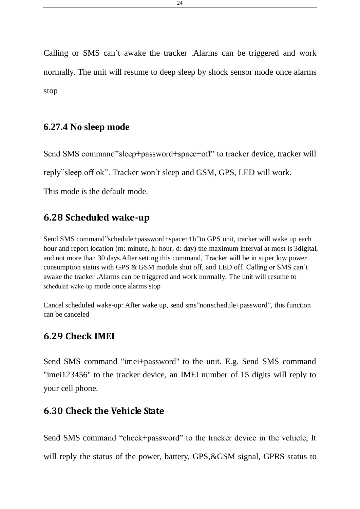Calling or SMS can't awake the tracker .Alarms can be triggered and work normally. The unit will resume to deep sleep by shock sensor mode once alarms stop

# <span id="page-23-0"></span>**6.27.4 No sleep mode**

Send SMS command"sleep+password+space+off" to tracker device, tracker will reply"sleep off ok". Tracker won't sleep and GSM, GPS, LED will work. This mode is the default mode.

# <span id="page-23-1"></span>**6.28 Scheduled wake-up**

Send SMS command"schedule+password+space+1h"to GPS unit, tracker will wake up each hour and report location (m: minute, h: hour, d: day) the maximum interval at most is 3digital, and not more than 30 days.After setting this command, Tracker will be in super low power consumption status with GPS & GSM module shut off, and LED off. Calling or SMS can't awake the tracker .Alarms can be triggered and work normally. The unit will resume to scheduled wake-up mode once alarms stop

Cancel scheduled wake-up: After wake up, send sms"nonschedule+password", this function can be canceled

# <span id="page-23-2"></span>**6.29 Check IMEI**

Send SMS command "imei+password" to the unit. E.g. Send SMS command "imei123456" to the tracker device, an IMEI number of 15 digits will reply to your cell phone.

# <span id="page-23-3"></span>**6.30 Check the Vehicle State**

Send SMS command "check+password" to the tracker device in the vehicle, It will reply the status of the power, battery, GPS,&GSM signal, GPRS status to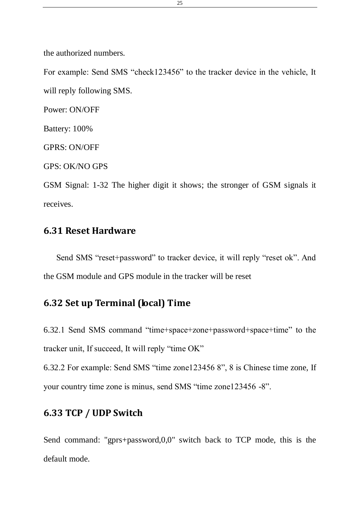the authorized numbers.

For example: Send SMS "check123456" to the tracker device in the vehicle, It will reply following SMS.

Power: ON/OFF

Battery: 100%

GPRS: ON/OFF

GPS: OK/NO GPS

GSM Signal: 1-32 The higher digit it shows; the stronger of GSM signals it receives.

# <span id="page-24-0"></span>**6.31 Reset Hardware**

Send SMS "reset+password" to tracker device, it will reply "reset ok". And the GSM module and GPS module in the tracker will be reset

# <span id="page-24-1"></span>**6.32 Set up Terminal (local) Time**

6.32.1 Send SMS command "time+space+zone+password+space+time" to the tracker unit, If succeed, It will reply "time OK"

6.32.2 For example: Send SMS "time zone123456 8", 8 is Chinese time zone, If your country time zone is minus, send SMS "time zone123456 -8".

# <span id="page-24-2"></span>**6.33 TCP / UDP Switch**

Send command: "gprs+password,0,0" switch back to TCP mode, this is the default mode.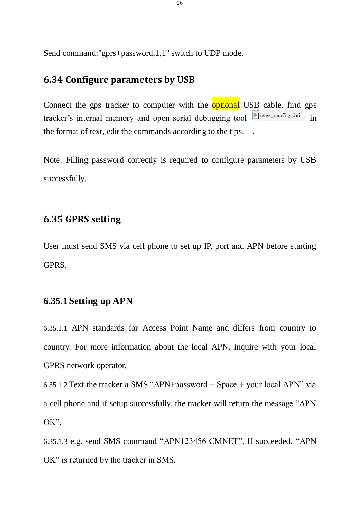Send command:"gprs+password,1,1" switch to UDP mode.

# <span id="page-25-0"></span>**6.34 Configure parameters by USB**

Connect the gps tracker to computer with the **optional USB** cable, find gps tracker's internal memory and open serial debugging tool **interpreterate in** in the format of text, edit the commands according to the tips. .

Note: Filling password correctly is required to configure parameters by USB successfully.

# <span id="page-25-1"></span>**6.35 GPRS setting**

User must send SMS via cell phone to set up IP, port and APN before starting GPRS.

### <span id="page-25-2"></span>**6.35.1Setting up APN**

6.35.1.1 APN standards for Access Point Name and differs from country to country. For more information about the local APN, inquire with your local GPRS network operator.

6.35.1.2 Text the tracker a SMS "APN+password + Space + your local APN" via a cell phone and if setup successfully, the tracker will return the message "APN OK".

6.35.1.3 e.g. send SMS command "APN123456 CMNET". If succeeded, "APN OK" is returned by the tracker in SMS.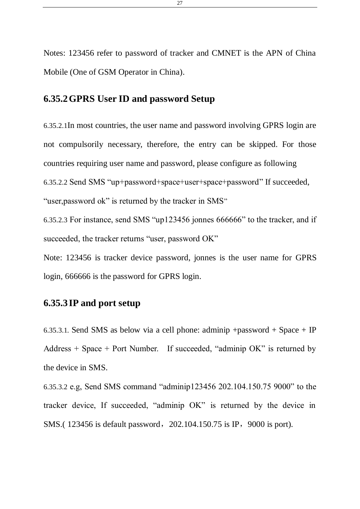Notes: 123456 refer to password of tracker and CMNET is the APN of China Mobile (One of GSM Operator in China).

# <span id="page-26-0"></span>**6.35.2GPRS User ID and password Setup**

6.35.2.1In most countries, the user name and password involving GPRS login are not compulsorily necessary, therefore, the entry can be skipped. For those countries requiring user name and password, please configure as following 6.35.2.2 Send SMS "up+password+space+user+space+password" If succeeded, "user, password ok" is returned by the tracker in SMS"

6.35.2.3 For instance, send SMS "up123456 jonnes 666666" to the tracker, and if succeeded, the tracker returns "user, password OK"

Note: 123456 is tracker device password, jonnes is the user name for GPRS login, 666666 is the password for GPRS login.

# <span id="page-26-1"></span>**6.35.3 IP and port setup**

6.35.3.1. Send SMS as below via a cell phone: adminip +password + Space + IP Address + Space + Port Number. If succeeded, "adminip OK" is returned by the device in SMS.

6.35.3.2 e.g, Send SMS command "adminip123456 202.104.150.75 9000" to the tracker device, If succeeded, "adminip OK" is returned by the device in SMS.(123456 is default password, 202.104.150.75 is IP, 9000 is port).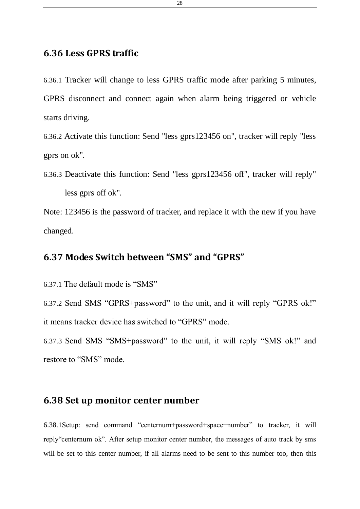# <span id="page-27-0"></span>**6.36 Less GPRS traffic**

6.36.1 Tracker will change to less GPRS traffic mode after parking 5 minutes, GPRS disconnect and connect again when alarm being triggered or vehicle starts driving.

6.36.2 Activate this function: Send "less gprs123456 on", tracker will reply "less gprs on ok".

6.36.3 Deactivate this function: Send "less gprs123456 off", tracker will reply" less gprs off ok".

Note: 123456 is the password of tracker, and replace it with the new if you have changed.

# <span id="page-27-1"></span>**6.37 Modes Switch between "SMS" and "GPRS"**

6.37.1 The default mode is "SMS"

6.37.2 Send SMS "GPRS+password" to the unit, and it will reply "GPRS ok!" it means tracker device has switched to "GPRS" mode.

6.37.3 Send SMS "SMS+password" to the unit, it will reply "SMS ok!" and restore to "SMS" mode.

# <span id="page-27-2"></span>**6.38 Set up monitor center number**

6.38.1Setup: send command "centernum+password+space+number" to tracker, it will reply"centernum ok". After setup monitor center number, the messages of auto track by sms will be set to this center number, if all alarms need to be sent to this number too, then this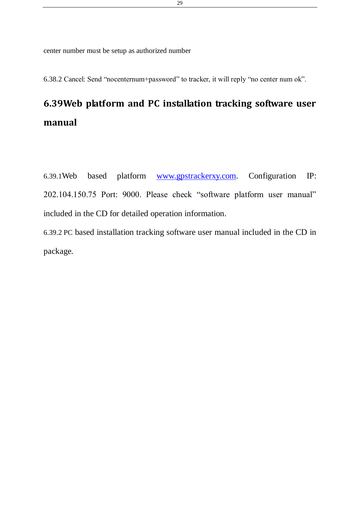center number must be setup as authorized number

6.38.2 Cancel: Send "nocenternum+password" to tracker, it will reply "no center num ok".

# <span id="page-28-0"></span>**6.39Web platform and PC installation tracking software user manual**

6.39.1Web based platform [www.gpstrackerxy.com.](http://www.gpstrackerxy.com/) Configuration IP: 202.104.150.75 Port: 9000. Please check "software platform user manual" included in the CD for detailed operation information.

6.39.2 PC based installation tracking software user manual included in the CD in package.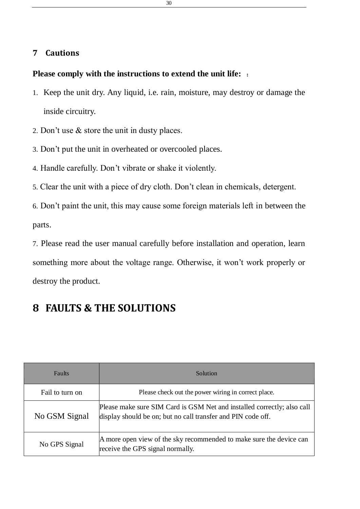# <span id="page-29-0"></span>**7 Cautions**

# **Please comply with the instructions to extend the unit life:** :

- 1. Keep the unit dry. Any liquid, i.e. rain, moisture, may destroy or damage the inside circuitry.
- 2. Don't use & store the unit in dusty places.
- 3. Don't put the unit in overheated or overcooled places.
- 4. Handle carefully. Don't vibrate or shake it violently.
- 5. Clear the unit with a piece of dry cloth. Don't clean in chemicals, detergent.

6. Don't paint the unit, this may cause some foreign materials left in between the parts.

7. Please read the user manual carefully before installation and operation, learn something more about the voltage range. Otherwise, it won't work properly or destroy the product.

# <span id="page-29-1"></span>**8 FAULTS & THE SOLUTIONS**

| <b>Faults</b>   | Solution                                                                                                                                |
|-----------------|-----------------------------------------------------------------------------------------------------------------------------------------|
| Fail to turn on | Please check out the power wiring in correct place.                                                                                     |
| No GSM Signal   | Please make sure SIM Card is GSM Net and installed correctly; also call<br>display should be on; but no call transfer and PIN code off. |
| No GPS Signal   | A more open view of the sky recommended to make sure the device can<br>receive the GPS signal normally.                                 |